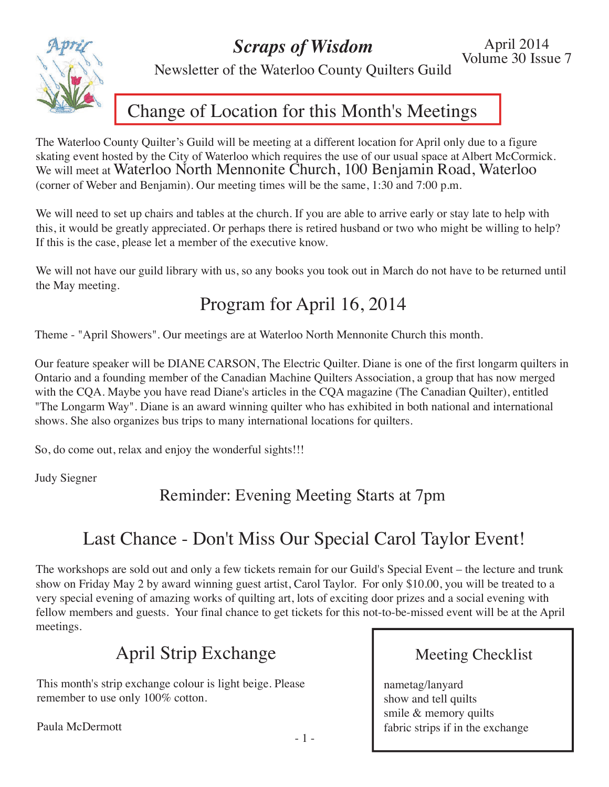*Scraps of Wisdom*

April 2014 Volume 30 Issue 7



Newsletter of the Waterloo County Quilters Guild

### Change of Location for this Month's Meetings

The Waterloo County Quilter's Guild will be meeting at a different location for April only due to a figure skating event hosted by the City of Waterloo which requires the use of our usual space at Albert McCormick. We will meet at Waterloo North Mennonite Church, 100 Benjamin Road, Waterloo (corner of Weber and Benjamin). Our meeting times will be the same, 1:30 and 7:00 p.m.

We will need to set up chairs and tables at the church. If you are able to arrive early or stay late to help with this, it would be greatly appreciated. Or perhaps there is retired husband or two who might be willing to help? If this is the case, please let a member of the executive know.

We will not have our guild library with us, so any books you took out in March do not have to be returned until the May meeting.

## Program for April 16, 2014

Theme - "April Showers". Our meetings are at Waterloo North Mennonite Church this month.

Our feature speaker will be DIANE CARSON, The Electric Quilter. Diane is one of the first longarm quilters in Ontario and a founding member of the Canadian Machine Quilters Association, a group that has now merged with the CQA. Maybe you have read Diane's articles in the CQA magazine (The Canadian Quilter), entitled "The Longarm Way". Diane is an award winning quilter who has exhibited in both national and international shows. She also organizes bus trips to many international locations for quilters.

So, do come out, relax and enjoy the wonderful sights!!!

Judy Siegner

Reminder: Evening Meeting Starts at 7pm

# Last Chance - Don't Miss Our Special Carol Taylor Event!

The workshops are sold out and only a few tickets remain for our Guild's Special Event – the lecture and trunk show on Friday May 2 by award winning guest artist, Carol Taylor. For only \$10.00, you will be treated to a very special evening of amazing works of quilting art, lots of exciting door prizes and a social evening with fellow members and guests. Your final chance to get tickets for this not-to-be-missed event will be at the April meetings.

## April Strip Exchange

This month's strip exchange colour is light beige. Please remember to use only 100% cotton.

Paula McDermott<br>- 1 -

### Meeting Checklist

nametag/lanyard show and tell quilts smile & memory quilts fabric strips if in the exchange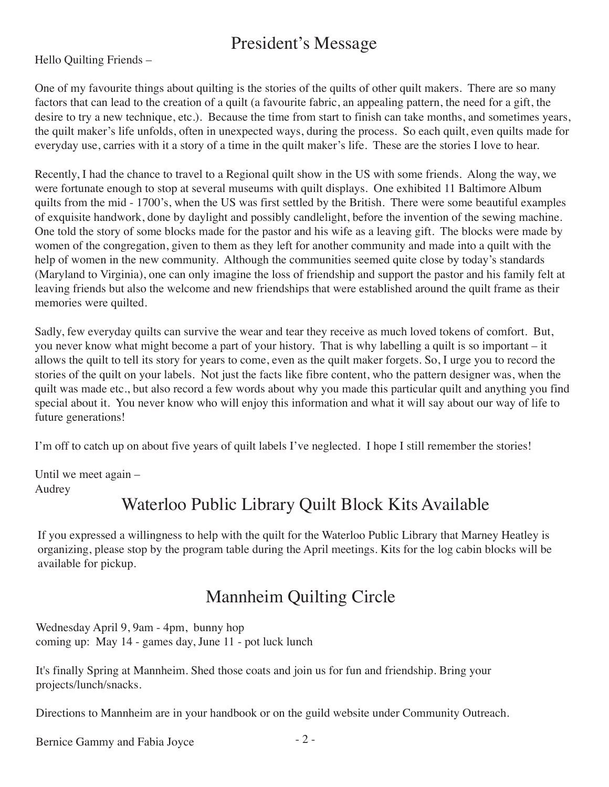## President's Message

Hello Quilting Friends –

One of my favourite things about quilting is the stories of the quilts of other quilt makers. There are so many factors that can lead to the creation of a quilt (a favourite fabric, an appealing pattern, the need for a gift, the desire to try a new technique, etc.). Because the time from start to finish can take months, and sometimes years, the quilt maker's life unfolds, often in unexpected ways, during the process. So each quilt, even quilts made for everyday use, carries with it a story of a time in the quilt maker's life. These are the stories I love to hear.

Recently, I had the chance to travel to a Regional quilt show in the US with some friends. Along the way, we were fortunate enough to stop at several museums with quilt displays. One exhibited 11 Baltimore Album quilts from the mid - 1700's, when the US was first settled by the British. There were some beautiful examples of exquisite handwork, done by daylight and possibly candlelight, before the invention of the sewing machine. One told the story of some blocks made for the pastor and his wife as a leaving gift. The blocks were made by women of the congregation, given to them as they left for another community and made into a quilt with the help of women in the new community. Although the communities seemed quite close by today's standards (Maryland to Virginia), one can only imagine the loss of friendship and support the pastor and his family felt at leaving friends but also the welcome and new friendships that were established around the quilt frame as their memories were quilted.

Sadly, few everyday quilts can survive the wear and tear they receive as much loved tokens of comfort. But, you never know what might become a part of your history. That is why labelling a quilt is so important – it allows the quilt to tell its story for years to come, even as the quilt maker forgets. So, I urge you to record the stories of the quilt on your labels. Not just the facts like fibre content, who the pattern designer was, when the quilt was made etc., but also record a few words about why you made this particular quilt and anything you find special about it. You never know who will enjoy this information and what it will say about our way of life to future generations!

I'm off to catch up on about five years of quilt labels I've neglected. I hope I still remember the stories!

Until we meet again – Audrey

### Waterloo Public Library Quilt Block Kits Available

If you expressed a willingness to help with the quilt for the Waterloo Public Library that Marney Heatley is organizing, please stop by the program table during the April meetings. Kits for the log cabin blocks will be available for pickup.

## Mannheim Quilting Circle

Wednesday April 9, 9am - 4pm, bunny hop coming up: May 14 - games day, June 11 - pot luck lunch

It's finally Spring at Mannheim. Shed those coats and join us for fun and friendship. Bring your projects/lunch/snacks.

Directions to Mannheim are in your handbook or on the guild website under Community Outreach.

Bernice Gammy and Fabia Joyce - 2 -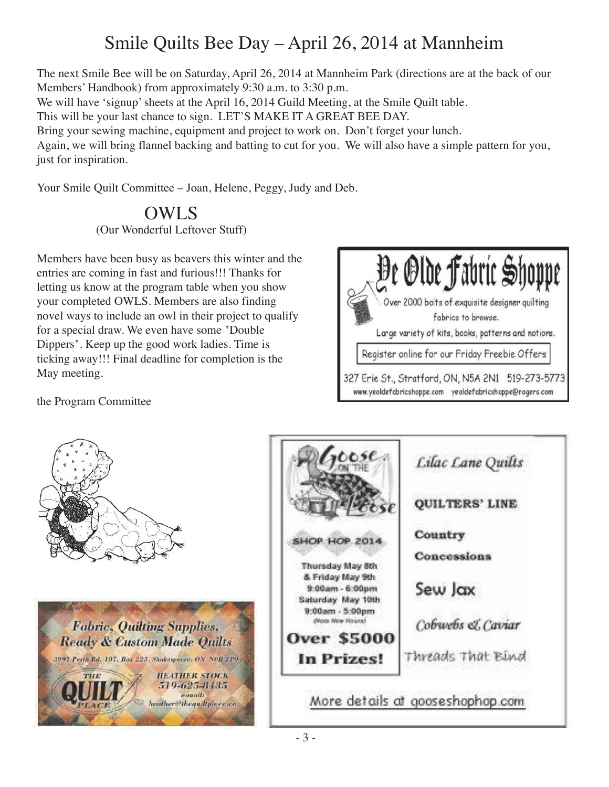# Smile Quilts Bee Day – April 26, 2014 at Mannheim

The next Smile Bee will be on Saturday, April 26, 2014 at Mannheim Park (directions are at the back of our Members' Handbook) from approximately 9:30 a.m. to 3:30 p.m.

We will have 'signup' sheets at the April 16, 2014 Guild Meeting, at the Smile Quilt table.

This will be your last chance to sign. LET'S MAKE IT A GREAT BEE DAY.

Bring your sewing machine, equipment and project to work on. Don't forget your lunch.

Again, we will bring flannel backing and batting to cut for you. We will also have a simple pattern for you, just for inspiration.

Your Smile Quilt Committee – Joan, Helene, Peggy, Judy and Deb.

#### OWLS (Our Wonderful Leftover Stuff)

Members have been busy as beavers this winter and the entries are coming in fast and furious!!! Thanks for letting us know at the program table when you show your completed OWLS. Members are also finding novel ways to include an owl in their project to qualify for a special draw. We even have some "Double Dippers". Keep up the good work ladies. Time is ticking away!!! Final deadline for completion is the May meeting.



the Program Committee



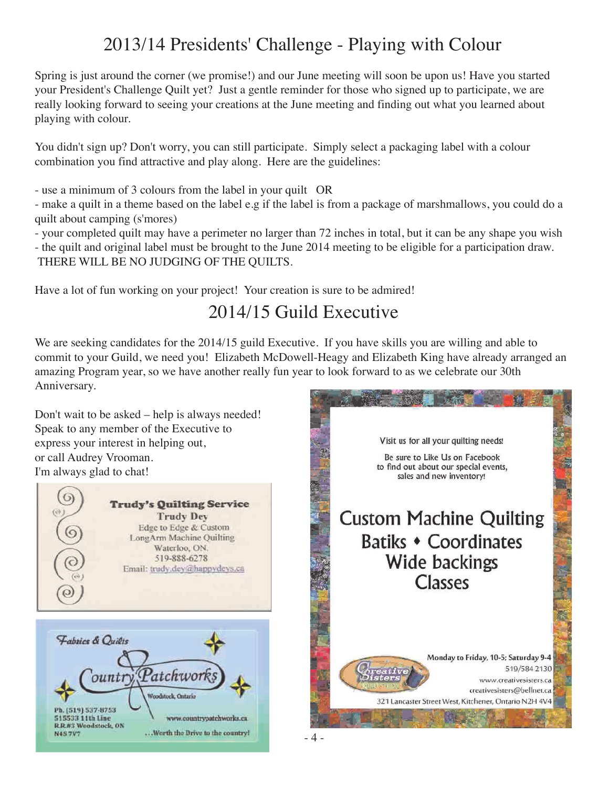## 2013/14 Presidents' Challenge - Playing with Colour

Spring is just around the corner (we promise!) and our June meeting will soon be upon us! Have you started your President's Challenge Quilt yet? Just a gentle reminder for those who signed up to participate, we are really looking forward to seeing your creations at the June meeting and finding out what you learned about playing with colour.

You didn't sign up? Don't worry, you can still participate. Simply select a packaging label with a colour combination you find attractive and play along. Here are the guidelines:

- use a minimum of 3 colours from the label in your quilt OR

- make a quilt in a theme based on the label e.g if the label is from a package of marshmallows, you could do a quilt about camping (s'mores)

- your completed quilt may have a perimeter no larger than 72 inches in total, but it can be any shape you wish - the quilt and original label must be brought to the June 2014 meeting to be eligible for a participation draw. THERE WILL BE NO JUDGING OF THE QUILTS.

Have a lot of fun working on your project! Your creation is sure to be admired!

## 2014/15 Guild Executive

We are seeking candidates for the 2014/15 guild Executive. If you have skills you are willing and able to commit to your Guild, we need you! Elizabeth McDowell-Heagy and Elizabeth King have already arranged an amazing Program year, so we have another really fun year to look forward to as we celebrate our 30th Anniversary.

Don't wait to be asked – help is always needed! Speak to any member of the Executive to express your interest in helping out, or call Audrey Vrooman. I'm always glad to chat!





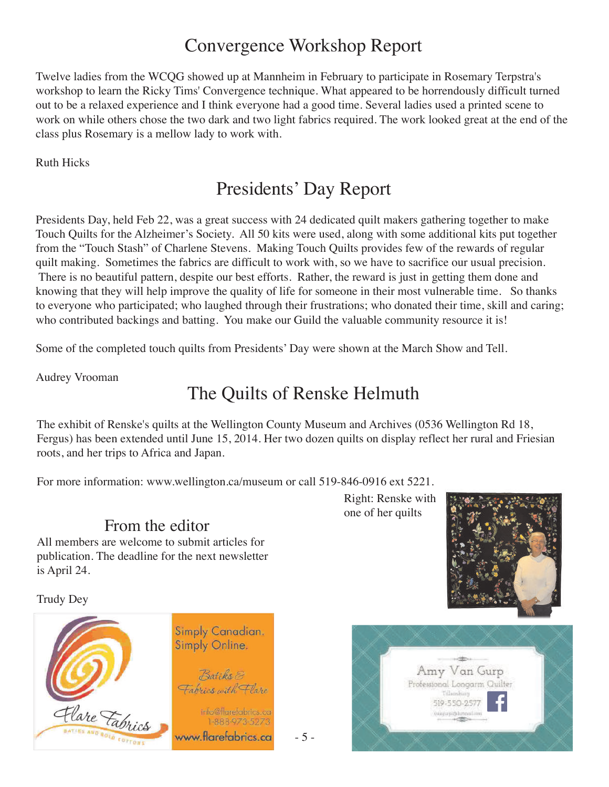## Convergence Workshop Report

Twelve ladies from the WCQG showed up at Mannheim in February to participate in Rosemary Terpstra's workshop to learn the Ricky Tims' Convergence technique. What appeared to be horrendously difficult turned out to be a relaxed experience and I think everyone had a good time. Several ladies used a printed scene to work on while others chose the two dark and two light fabrics required. The work looked great at the end of the class plus Rosemary is a mellow lady to work with.

Ruth Hicks

## Presidents' Day Report

Presidents Day, held Feb 22, was a great success with 24 dedicated quilt makers gathering together to make Touch Quilts for the Alzheimer's Society. All 50 kits were used, along with some additional kits put together from the "Touch Stash" of Charlene Stevens. Making Touch Quilts provides few of the rewards of regular quilt making. Sometimes the fabrics are difficult to work with, so we have to sacrifice our usual precision. There is no beautiful pattern, despite our best efforts. Rather, the reward is just in getting them done and knowing that they will help improve the quality of life for someone in their most vulnerable time. So thanks to everyone who participated; who laughed through their frustrations; who donated their time, skill and caring; who contributed backings and batting. You make our Guild the valuable community resource it is!

Some of the completed touch quilts from Presidents' Day were shown at the March Show and Tell.

Audrey Vrooman

## The Quilts of Renske Helmuth

The exhibit of Renske's quilts at the Wellington County Museum and Archives (0536 Wellington Rd 18, Fergus) has been extended until June 15, 2014. Her two dozen quilts on display reflect her rural and Friesian roots, and her trips to Africa and Japan.

- 5 -

For more information: www.wellington.ca/museum or call 519-846-0916 ext 5221.

#### From the editor

All members are welcome to submit articles for publication. The deadline for the next newsletter is April 24.

Trudy Dey



Right: Renske with one of her quilts